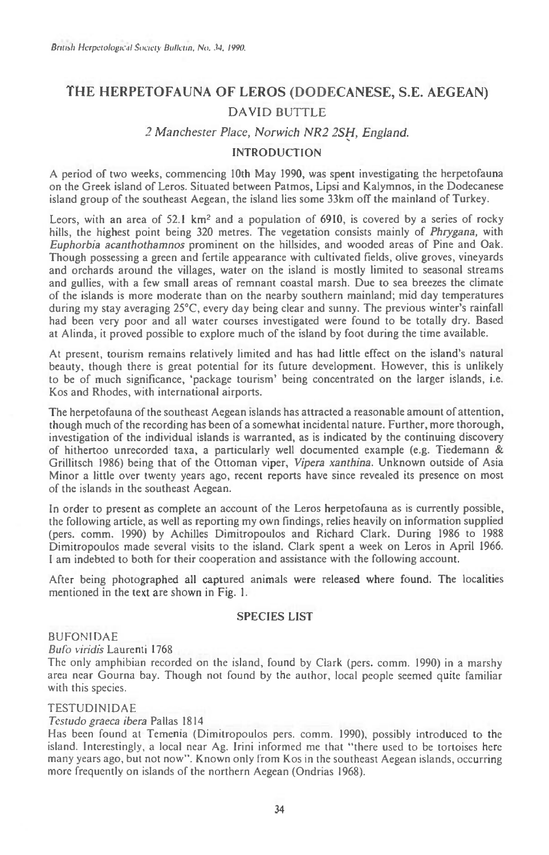# THE HERPETOFAUNA OF LEROS (DODECANESE, S.E. AEGEAN) DAVID BUTTLE

## *2 Manchester Place, Norwich NR2 2SH, England.*

#### INTRODUCTION

A period of two weeks, commencing 10th May 1990, was spent investigating the herpetofauna on the Greek island of Leros. Situated between Patmos, Lipsi and Kalymnos, in the Dodecanese island group of the southeast Aegean, the island lies some 33km off the mainland of Turkey.

Leors, with an area of  $52.1 \text{ km}^2$  and a population of 6910, is covered by a series of rocky hills, the highest point being 320 metres. The vegetation consists mainly of *Phrygana,* with *Euphorbia acanthothamnos* prominent on the hillsides, and wooded areas of Pine and Oak. Though possessing a green and fertile appearance with cultivated fields, olive groves, vineyards and orchards around the villages, water on the island is mostly limited to seasonal streams and gullies, with a few small areas of remnant coastal marsh. Due to sea breezes the climate of the islands is more moderate than on the nearby southern mainland; mid day temperatures during my stay averaging 25°C, every day being clear and sunny. The previous winter's rainfall had been very poor and all water courses investigated were found to be totally dry. Based at Alinda, it proved possible to explore much of the island by foot during the time available.

At present, tourism remains relatively limited and has had little effect on the island's natural beauty, though there is great potential for its future development. However, this is unlikely to be of much significance, 'package tourism' being concentrated on the larger islands, i.e. Kos and Rhodes, with international airports.

The herpetofauna of the southeast Aegean islands has attracted a reasonable amount of attention, though much of the recording has been of a somewhat incidental nature. Further, more thorough, investigation of the individual islands is warranted, as is indicated by the continuing discovery of hithertoo unrecorded taxa, a particularly well documented example (e.g. Tiedemann & Grillitsch 1986) being that of the Ottoman viper, *Vipera xanthina.* Unknown outside of Asia Minor a little over twenty years ago, recent reports have since revealed its presence on most of the islands in the southeast Aegean.

In order to present as complete an account of the Leros herpetofauna as is currently possible, the following article, as well as reporting my own findings, relies heavily on information supplied (pers. comm. 1990) by Achilles Dimitropoulos and Richard Clark. During 1986 to 1988 Dimitropoulos made several visits to the island. Clark spent a week on Leros in April 1966. I am indebted to both for their cooperation and assistance with the following account.

After being photographed all captured animals were released where found. The localities mentioned in the text are shown in Fig. 1.

#### SPECIES LIST

# **BUFONIDAE**

*Bubo viridis* Laurenti 1768

The only amphibian recorded on the island, found by Clark (pers. comm. 1990) in a marshy area near Gourna bay. Though not found by the author, local people seemed quite familiar with this species.

## TESTUDINIDAE

*Testudo graeca ibera* Pallas 1814

Has been found at Temenia (Dimitropoulos pers. comm. 1990), possibly introduced to the island. Interestingly, a local near Ag. Irini informed me that "there used to be tortoises here many years ago, but not now". Known only from Kos in the southeast Aegean islands, occurring more frequently on islands of the northern Aegean (Ondrias 1968).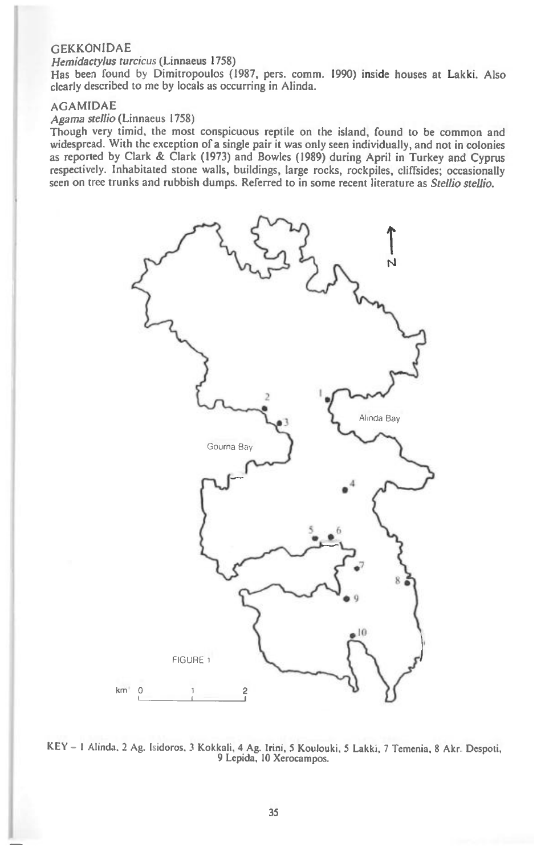#### GEKKONIDAE

#### Hemidactylus turcicus (Linnaeus 1758)

Has been found by Dimitropoulos (1987, pers. comm. 1990) inside houses at Lakki. Also clearly described to me by locals as occurring in Alinda.

#### AGAMIDAE

## Agama stellio (Linnaeus 1758)

Though very timid, the most conspicuous reptile on the island, found to be common and widespread. With the exception of a single pair it was only seen individually, and not in colonies as reported by Clark & Clark (1973) and Bowles (1989) during April in Turkey and Cyprus respectively. Inhabitated stone walls, buildings, large rocks, rockpiles, cliffsides; occasionally seen on tree trunks and rubbish dumps. Referred to in some recent literature as Stellio stellio.



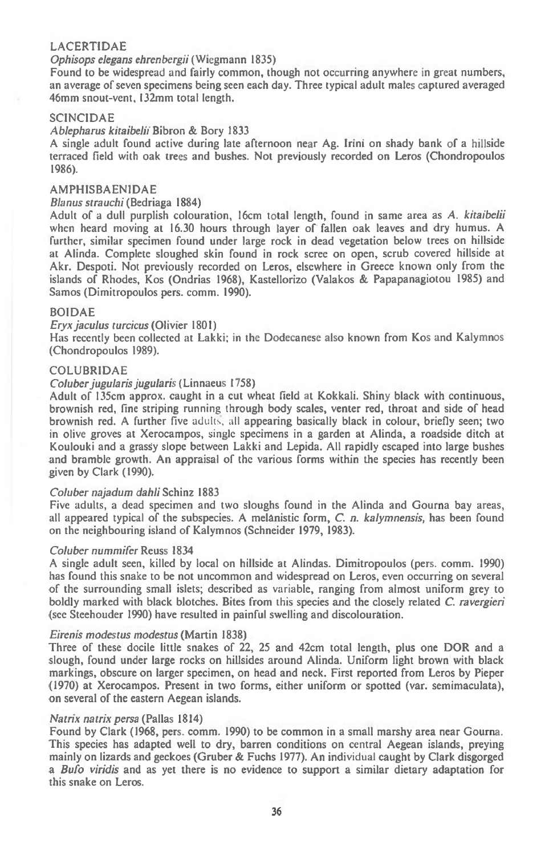## LACERTIDAE

# Ophisops elegans ehrenbergii (Wiegmann 1835)

Found to be widespread and fairly common, though not occurring anywhere in great numbers, an average of seven specimens being seen each day. Three typical adult males captured averaged 46mm snout-vent, I32mm total length.

#### **SCINCIDAE**

# Ablepharus kitaibelii Bibron & Bory 1833

A single adult found active during late afternoon near Ag. Irini on shady bank of a hillside terraced field with oak trees and bushes. Not previously recorded on Leros (Chondropoulos 1986).

## AMPHISBAENIDAE

#### Blanus strauchi (Bedriaga 1884)

Adult of a dull purplish colouration, 16cm total length, found in same area as A. kitaibelii when heard moving at 16.30 hours through layer of fallen oak leaves and dry humus. A further, similar specimen found under large rock in dead vegetation below trees on hillside at Alinda. Complete sloughed skin found in rock scree on open, scrub covered hillside at Akr. Despoti. Not previously recorded on Leros, elsewhere in Greece known only from the islands of Rhodes, Kos (Ondrias 1968), Kastellorizo (Valakos & Papapanagiotou 1985) and Samos (Dimitropoulos pers. comm. 1990).

#### BOIDAE

#### Eryx jaculus turcicus (Olivier 1801)

Has recently been collected at Lakki; in the Dodecanese also known from Kos and Kalymnos (Chondropoulos 1989).

#### COLUBRIDAE

#### Coluber jugularis jugularis ( Linnaeus 1758)

Adult of 135cm approx. caught in a cut wheat field at Kokkali. Shiny black with continuous, brownish red, fine striping running through body scales, venter red, throat and side of head brownish red. A further five adults, all appearing basically black in colour, briefly seen; two in olive groves at Xerocampos, single specimens in a garden at Alinda, a roadside ditch at Koulouki and a grassy slope between Lakki and Lepida. All rapidly escaped into large bushes and bramble growth. An appraisal of the various forms within the species has recently been given by Clark (1990).

#### Coluber najadum dahli Schinz 1883

Five adults, a dead specimen and two sloughs found in the Alinda and Gourna bay areas, all appeared typical of the subspecies. A melanistic form,  $C$ .  $n$ . kalymnensis, has been found on the neighbouring island of Kalymnos (Schneider 1979, 1983).

#### Coluber nummifer Reuss 1834

A single adult seen, killed by local on hillside at Alindas. Dimitropoulos (pers. comm. 1990) has found this snake to be not uncommon and widespread on Leros, even occurring on several of the surrounding small islets; described as variable, ranging from almost uniform grey to boldly marked with black blotches. Bites from this species and the closely related C. ravergieri (see Steehouder 1990) have resulted in painful swelling and discolouration.

#### Eirenis modestus modestus (Martin 1838)

Three of these docile little snakes of 22, 25 and 42cm total length, plus one DOR and a slough, found under large rocks on hillsides around Alinda. Uniform light brown with black markings, obscure on larger specimen, on head and neck. First reported from Leros by Pieper (1970) at Xerocampos. Present in two forms, either uniform or spotted (var. semimaculata), on several of the eastern Aegean islands.

#### Natrix natrix persa (Pallas 1814)

Found by Clark (1968, pers. comm. 1990) to be common in a small marshy area near Gourna. This species has adapted well to dry, barren conditions on central Aegean islands, preying mainly on lizards and geckoes (Gruber & Fuchs 1977). An individual caught by Clark disgorged a Bufo viridis and as yet there is no evidence to support a similar dietary adaptation for this snake on Leros.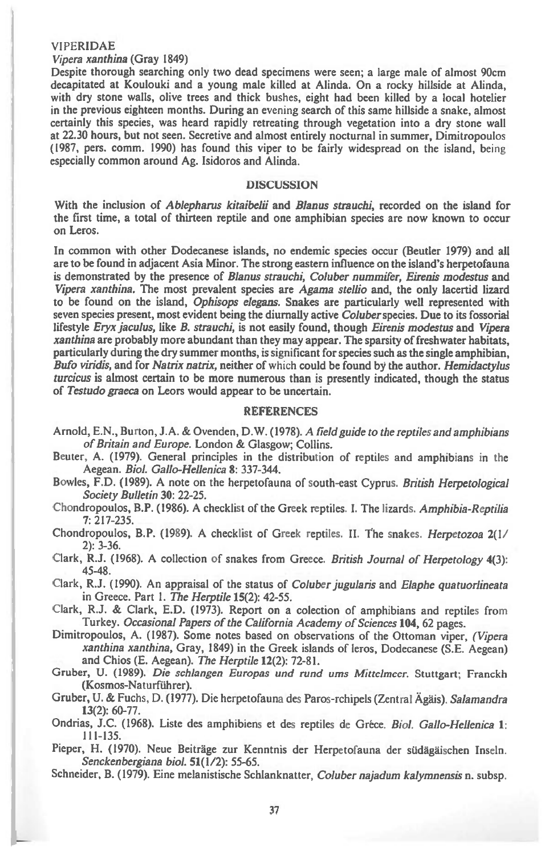#### **VIPERIDAE**

# *Vipera xanthina* (Gray 1849)

Despite thorough searching only two dead specimens were seen; a large male of almost 90cm decapitated at Koulouki and a young male killed at Alinda. On a rocky hillside at Alinda, with dry stone walls, olive trees and thick bushes, eight had been killed by a local hotelier in the previous eighteen months. During an evening search of this same hillside a snake, almost certainly this species, was heard rapidly retreating through vegetation into a dry stone wall at 22.30 hours, but not seen. Secretive and almost entirely nocturnal in summer, Dimitropoulos (1987, pers. comm. 1990) has found this viper to be fairly widespread on the island, being especially common around Ag. Isidoros and Alinda.

## **DISCUSSION**

With the inclusion of *Ablepharus kitaibelii* and *Blanus strauchi,* recorded on the island for the first time, a total of thirteen reptile and one amphibian species are now known to occur on Leros.

In common with other Dodecanese islands, no endemic species occur (Beutler 1979) and all are to be found in adjacent Asia Minor. The strong eastern influence on the island's herpetofauna is demonstrated by the presence of *Blanus strauchi, Coluber nummifer, Eirenis modestus* and *Vipera xanthina.* The most prevalent species *are Agama stellio* and, the only lacertid lizard to be found on the island, *Ophisops elegans.* Snakes are particularly well represented with seven species present, most evident being the diurnally active *Coluber* species. Due to its fossorial lifestyle *Eryx jaculus,* like *B. strauchi,* is not easily found, though *Eirenis modestus* and *Vipera xanthina* are probably more abundant than they may appear. The sparsity of freshwater habitats, particularly during the dry summer months, is significant for species such as the single amphibian, *Bufo viridis,* and for *Natrix natrix,* neither of which could be found by the author. *Hemidactylus turcicus* is almost certain to be more numerous than is presently indicated, though the status of *Testudo graeca* on Leors would appear to be uncertain.

#### REFERENCES

- Arnold, E.N., Burton, J.A. & Ovenden, D.W. (1978). A *field guide to the reptiles and amphibians of Britain and Europe.* London & Glasgow; Collins.
- Beuter, A. (1979). General principles in the distribution of reptiles and amphibians in the Aegean. *Biol. Gallo-Hellenica* **8:** 337-344.
- Bowles, F.D. (1989). A note on the herpetofauna of south-east Cyprus. *British Herpetological Society Bulletin* **30:** 22-25.
- Chondropoulos, B.P. (1986). A checklist of the Greek reptiles. I. The lizards. *Amphibia-Reptilia*  7: 217-235.

Chondropoulos, B.P. (1989). A checklist of Greek reptiles. H. The snakes. *Herpetozoa* 2(1/ 2): 3-36.

Clark, R.J. (1968). A collection of snakes from Greece. *British Journal of Herpetology* 4(3): 45-48.

Clark, R.J. (1990). An appraisal of the status of *Coluber jugularis* and *Elaphe quatuorlineata*  in Greece. Part 1. *The Herptile* **15(2):** 42-55.

Clark, R.J. & Clark, E.D. (1973). Report on a colection of amphibians and reptiles from Turkey. *Occasional Papers of the California Academy of Sciences* **104,** 62 pages.

Dimitropoulos, A. (1987). Some notes based on observations of the Ottoman viper, *(Vipera xanthina xanthina,* Gray, 1849) in the Greek islands of leros, Dodecanese (S.E. Aegean) and Chios (E. Aegean). *The Herptile* **12(2):** 72-81.

Gruber, U. (1989). *Die schlangen Europas and rand urns Mittelmeer.* Stuttgart; Franckh (Kosmos-Naturführer).

Gruber, U. & Fuchs, D. (1977). Die herpetofauna des Paros-rchipels (Zentral Agais). *Salamandra*  **13(2):** 60-77.

Ondrias, J.C. (1968). Liste des amphibiens et des reptiles de Grice. *Biol. Gallo-Hellenica* 1: 111-135.

Pieper, H. (1970). Neue Beitrage zur Kenntnis der Herpetofauna der siidagaischen Inseln. *Senckenbergiana biol.* **51(1/2):** 55-65.

Schneider, B. (1979). Eine melanistische Schlanknatter, *Coluber najadum kalymnensis* n. subsp.